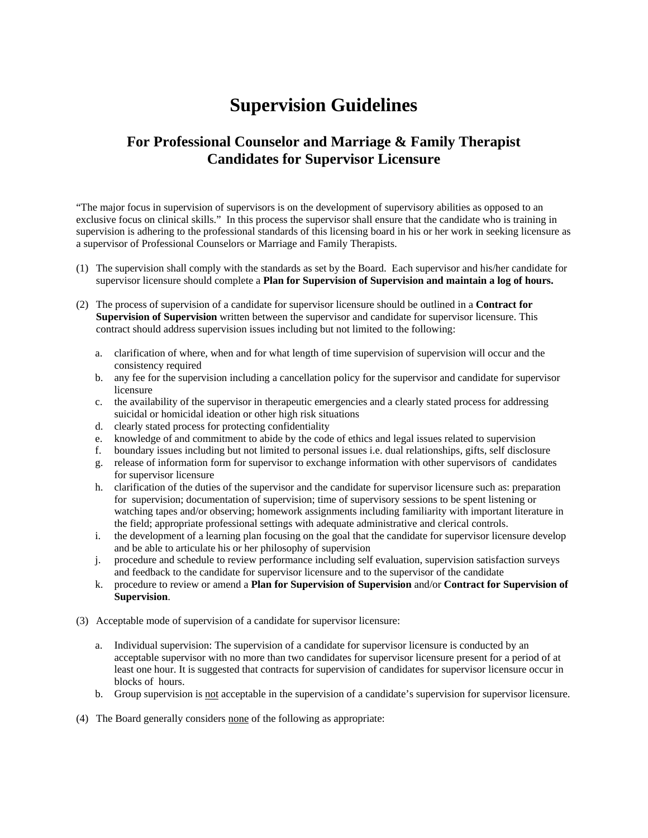## **Supervision Guidelines**

## **For Professional Counselor and Marriage & Family Therapist Candidates for Supervisor Licensure**

"The major focus in supervision of supervisors is on the development of supervisory abilities as opposed to an exclusive focus on clinical skills." In this process the supervisor shall ensure that the candidate who is training in supervision is adhering to the professional standards of this licensing board in his or her work in seeking licensure as a supervisor of Professional Counselors or Marriage and Family Therapists.

- (1) The supervision shall comply with the standards as set by the Board. Each supervisor and his/her candidate for supervisor licensure should complete a **Plan for Supervision of Supervision and maintain a log of hours.**
- (2) The process of supervision of a candidate for supervisor licensure should be outlined in a **Contract for Supervision of Supervision** written between the supervisor and candidate for supervisor licensure. This contract should address supervision issues including but not limited to the following:
	- a. clarification of where, when and for what length of time supervision of supervision will occur and the consistency required
	- b. any fee for the supervision including a cancellation policy for the supervisor and candidate for supervisor licensure
	- c. the availability of the supervisor in therapeutic emergencies and a clearly stated process for addressing suicidal or homicidal ideation or other high risk situations
	- d. clearly stated process for protecting confidentiality
	- e. knowledge of and commitment to abide by the code of ethics and legal issues related to supervision
	- f. boundary issues including but not limited to personal issues i.e. dual relationships, gifts, self disclosure
	- g. release of information form for supervisor to exchange information with other supervisors of candidates for supervisor licensure
	- h. clarification of the duties of the supervisor and the candidate for supervisor licensure such as: preparation for supervision; documentation of supervision; time of supervisory sessions to be spent listening or watching tapes and/or observing; homework assignments including familiarity with important literature in the field; appropriate professional settings with adequate administrative and clerical controls.
	- i. the development of a learning plan focusing on the goal that the candidate for supervisor licensure develop and be able to articulate his or her philosophy of supervision
	- j. procedure and schedule to review performance including self evaluation, supervision satisfaction surveys and feedback to the candidate for supervisor licensure and to the supervisor of the candidate
	- k. procedure to review or amend a **Plan for Supervision of Supervision** and/or **Contract for Supervision of Supervision**.
- (3) Acceptable mode of supervision of a candidate for supervisor licensure:
	- a. Individual supervision: The supervision of a candidate for supervisor licensure is conducted by an acceptable supervisor with no more than two candidates for supervisor licensure present for a period of at least one hour. It is suggested that contracts for supervision of candidates for supervisor licensure occur in blocks of hours.
	- b. Group supervision is not acceptable in the supervision of a candidate's supervision for supervisor licensure.
- (4) The Board generally considers none of the following as appropriate: